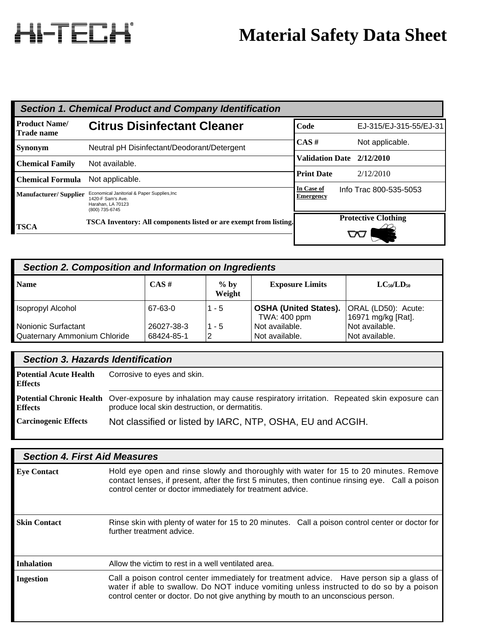# HI-TECH

# **Material Safety Data Sheet**

|                                           | <b>Section 1. Chemical Product and Company Identification</b>                                            |                                |                            |
|-------------------------------------------|----------------------------------------------------------------------------------------------------------|--------------------------------|----------------------------|
| <b>Product Name/</b><br><b>Trade name</b> | <b>Citrus Disinfectant Cleaner</b>                                                                       | Code                           | EJ-315/EJ-315-55/EJ-31     |
| <b>Synonym</b>                            | Neutral pH Disinfectant/Deodorant/Detergent                                                              | $CAS \#$                       | Not applicable.            |
|                                           |                                                                                                          | <b>Validation Date</b>         | 2/12/2010                  |
| <b>Chemical Family</b>                    | Not available.                                                                                           |                                |                            |
| <b>Chemical Formula</b>                   | Not applicable.                                                                                          | <b>Print Date</b>              | 2/12/2010                  |
| <b>Manufacturer/Supplier</b>              | Economical Janitorial & Paper Supplies, Inc.<br>1420-F Sam's Ave.<br>Harahan, LA 70123<br>(800) 735-6745 | In Case of<br><b>Emergency</b> | Info Trac 800-535-5053     |
| <b>TSCA</b>                               | TSCA Inventory: All components listed or are exempt from listing.                                        |                                | <b>Protective Clothing</b> |
|                                           |                                                                                                          |                                |                            |

| Section 2. Composition and Information on Ingredients |                          |                  |                                              |                                           |
|-------------------------------------------------------|--------------------------|------------------|----------------------------------------------|-------------------------------------------|
| <b>Name</b>                                           | $CAS \#$                 | $%$ by<br>Weight | <b>Exposure Limits</b>                       | $LC_{50}/LD_{50}$                         |
| Isopropyl Alcohol                                     | 67-63-0                  | $1 - 5$          | <b>OSHA (United States).</b><br>TWA: 400 ppm | ORAL (LD50): Acute:<br>16971 mg/kg [Rat]. |
| Nonionic Surfactant<br>Quaternary Ammonium Chloride   | 26027-38-3<br>68424-85-1 | $1 - 5$<br>12    | Not available.<br>Not available.             | Not available.<br>Not available.          |

|                                                 | <b>Section 3. Hazards Identification</b>                                                                                                                            |  |  |
|-------------------------------------------------|---------------------------------------------------------------------------------------------------------------------------------------------------------------------|--|--|
| <b>Potential Acute Health</b><br><b>Effects</b> | Corrosive to eyes and skin.                                                                                                                                         |  |  |
| <b>Effects</b>                                  | Potential Chronic Health Over-exposure by inhalation may cause respiratory irritation. Repeated skin exposure can<br>produce local skin destruction, or dermatitis. |  |  |
| <b>Carcinogenic Effects</b>                     | Not classified or listed by IARC, NTP, OSHA, EU and ACGIH.                                                                                                          |  |  |

|                     | <b>Section 4. First Aid Measures</b>                                                                                                                                                                                                                                      |
|---------------------|---------------------------------------------------------------------------------------------------------------------------------------------------------------------------------------------------------------------------------------------------------------------------|
| <b>Eye Contact</b>  | Hold eye open and rinse slowly and thoroughly with water for 15 to 20 minutes. Remove<br>contact lenses, if present, after the first 5 minutes, then continue rinsing eye. Call a poison<br>control center or doctor immediately for treatment advice.                    |
| <b>Skin Contact</b> | Rinse skin with plenty of water for 15 to 20 minutes. Call a poison control center or doctor for<br>further treatment advice.                                                                                                                                             |
| <b>Inhalation</b>   | Allow the victim to rest in a well ventilated area.                                                                                                                                                                                                                       |
| <b>Ingestion</b>    | Call a poison control center immediately for treatment advice. Have person sip a glass of<br>water if able to swallow. Do NOT induce vomiting unless instructed to do so by a poison<br>control center or doctor. Do not give anything by mouth to an unconscious person. |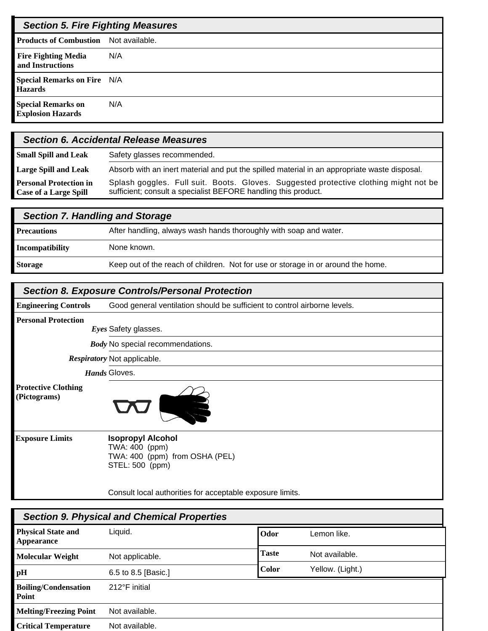| <b>Section 5. Fire Fighting Measures</b>              |     |
|-------------------------------------------------------|-----|
| <b>Products of Combustion</b> Not available.          |     |
| <b>Fire Fighting Media</b><br>and Instructions        | N/A |
| <b>Special Remarks on Fire N/A</b><br><b>Hazards</b>  |     |
| <b>Special Remarks on</b><br><b>Explosion Hazards</b> | N/A |

|                                                               | <b>Section 6. Accidental Release Measures</b>                                                                                                          |
|---------------------------------------------------------------|--------------------------------------------------------------------------------------------------------------------------------------------------------|
| <b>Small Spill and Leak</b>                                   | Safety glasses recommended.                                                                                                                            |
| <b>Large Spill and Leak</b>                                   | Absorb with an inert material and put the spilled material in an appropriate waste disposal.                                                           |
| <b>Personal Protection in</b><br><b>Case of a Large Spill</b> | Splash goggles. Full suit. Boots. Gloves. Suggested protective clothing might not be<br>sufficient; consult a specialist BEFORE handling this product. |

| <b>Section 7. Handling and Storage</b> |                                                                                  |
|----------------------------------------|----------------------------------------------------------------------------------|
| <b>Precautions</b>                     | After handling, always wash hands thoroughly with soap and water.                |
| Incompatibility                        | None known.                                                                      |
| <b>Storage</b>                         | Keep out of the reach of children. Not for use or storage in or around the home. |

### *Section 8. Exposure Controls/Personal Protection*

Good general ventilation should be sufficient to control airborne levels. **Engineering Controls**

**Personal Protection**

**Eyes Safety glasses.** 

**Body** No special recommendations.

Respiratory Not applicable.

**Hands** Gloves.

**Protective Clothing (Pictograms)**



**Exposure Limits**

#### **Isopropyl Alcohol** TWA: 400 (ppm) TWA: 400 (ppm) from OSHA (PEL) STEL: 500 (ppm)

Consult local authorities for acceptable exposure limits.

| <b>Section 9. Physical and Chemical Properties</b> |                     |              |                  |  |
|----------------------------------------------------|---------------------|--------------|------------------|--|
| <b>Physical State and</b><br><b>Appearance</b>     | Liquid.             | <b>Odor</b>  | Lemon like.      |  |
| <b>Molecular Weight</b>                            | Not applicable.     | <b>Taste</b> | Not available.   |  |
| pH                                                 | 6.5 to 8.5 [Basic.] | <b>Color</b> | Yellow. (Light.) |  |
| <b>Boiling/Condensation</b><br>Point               | 212°F initial       |              |                  |  |
| <b>Melting/Freezing Point</b>                      | Not available.      |              |                  |  |
| <b>Critical Temperature</b>                        | Not available.      |              |                  |  |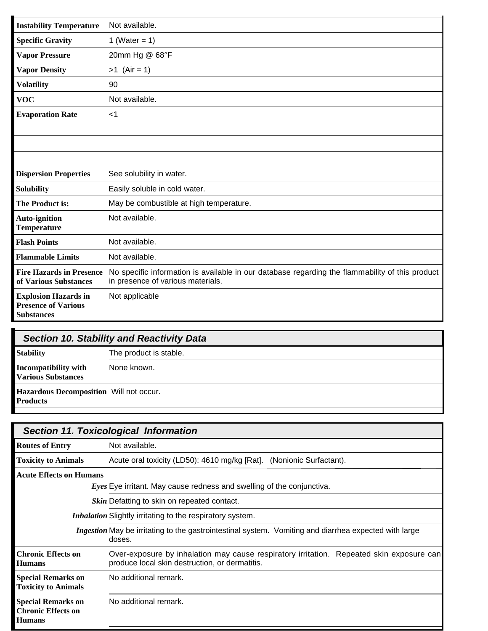| <b>Instability Temperature</b>                                                 | Not available.                                                                                                                       |
|--------------------------------------------------------------------------------|--------------------------------------------------------------------------------------------------------------------------------------|
| <b>Specific Gravity</b>                                                        | 1 (Water = $1$ )                                                                                                                     |
| <b>Vapor Pressure</b>                                                          | 20mm Hg @ 68°F                                                                                                                       |
| <b>Vapor Density</b>                                                           | $>1$ (Air = 1)                                                                                                                       |
| <b>Volatility</b>                                                              | 90                                                                                                                                   |
| <b>VOC</b>                                                                     | Not available.                                                                                                                       |
| <b>Evaporation Rate</b>                                                        | $<$ 1                                                                                                                                |
|                                                                                |                                                                                                                                      |
|                                                                                |                                                                                                                                      |
|                                                                                |                                                                                                                                      |
| <b>Dispersion Properties</b>                                                   | See solubility in water.                                                                                                             |
| <b>Solubility</b>                                                              | Easily soluble in cold water.                                                                                                        |
| The Product is:                                                                | May be combustible at high temperature.                                                                                              |
| <b>Auto-ignition</b><br><b>Temperature</b>                                     | Not available.                                                                                                                       |
| <b>Flash Points</b>                                                            | Not available.                                                                                                                       |
| <b>Flammable Limits</b>                                                        | Not available.                                                                                                                       |
| <b>Fire Hazards in Presence</b><br>of Various Substances                       | No specific information is available in our database regarding the flammability of this product<br>in presence of various materials. |
| <b>Explosion Hazards in</b><br><b>Presence of Various</b><br><b>Substances</b> | Not applicable                                                                                                                       |

| <b>Section 10. Stability and Reactivity Data</b>                  |                        |
|-------------------------------------------------------------------|------------------------|
| <b>Stability</b>                                                  | The product is stable. |
| Incompatibility with<br><b>Various Substances</b>                 | None known.            |
| <b>Hazardous Decomposition</b> Will not occur.<br><b>Products</b> |                        |

|                                                                         | <b>Section 11. Toxicological Information</b>                                                                                               |
|-------------------------------------------------------------------------|--------------------------------------------------------------------------------------------------------------------------------------------|
| <b>Routes of Entry</b>                                                  | Not available.                                                                                                                             |
| <b>Toxicity to Animals</b>                                              | Acute oral toxicity (LD50): 4610 mg/kg [Rat]. (Nonionic Surfactant).                                                                       |
| <b>Acute Effects on Humans</b>                                          |                                                                                                                                            |
|                                                                         | Eyes Eye irritant. May cause redness and swelling of the conjunctiva.                                                                      |
|                                                                         | Skin Defatting to skin on repeated contact.                                                                                                |
|                                                                         | <i>Inhalation</i> Slightly irritating to the respiratory system.                                                                           |
|                                                                         | Ingestion May be irritating to the gastrointestinal system. Vomiting and diarrhea expected with large<br>doses.                            |
| <b>Chronic Effects on</b><br><b>Humans</b>                              | Over-exposure by inhalation may cause respiratory irritation. Repeated skin exposure can<br>produce local skin destruction, or dermatitis. |
| <b>Special Remarks on</b><br><b>Toxicity to Animals</b>                 | No additional remark.                                                                                                                      |
| <b>Special Remarks on</b><br><b>Chronic Effects on</b><br><b>Humans</b> | No additional remark.                                                                                                                      |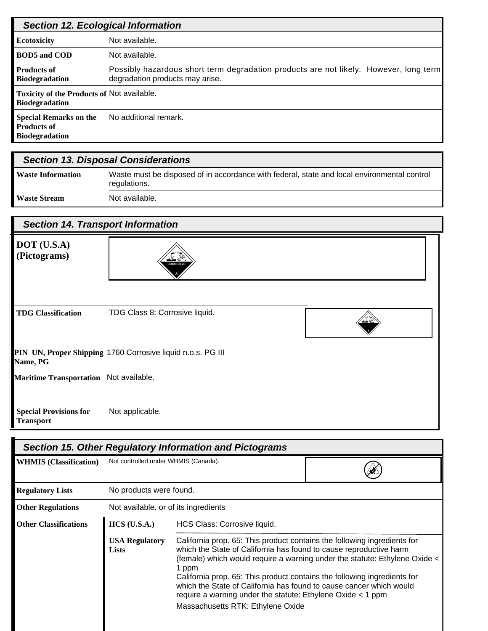|                                                                              | <b>Section 12. Ecological Information</b>                                                                                |
|------------------------------------------------------------------------------|--------------------------------------------------------------------------------------------------------------------------|
| <b>Ecotoxicity</b>                                                           | Not available.                                                                                                           |
| <b>BOD5</b> and COD                                                          | Not available.                                                                                                           |
| <b>Products of</b><br><b>Biodegradation</b>                                  | Possibly hazardous short term degradation products are not likely. However, long term<br>degradation products may arise. |
| Toxicity of the Products of Not available.<br><b>Biodegradation</b>          |                                                                                                                          |
| <b>Special Remarks on the</b><br><b>Products of</b><br><b>Biodegradation</b> | No additional remark.                                                                                                    |

| <b>Section 13. Disposal Considerations</b> |                                                                                                             |  |  |
|--------------------------------------------|-------------------------------------------------------------------------------------------------------------|--|--|
| <b>Waste Information</b>                   | Waste must be disposed of in accordance with federal, state and local environmental control<br>regulations. |  |  |
| <b>Waste Stream</b>                        | Not available.                                                                                              |  |  |

**8**

# *Section 14. Transport Information*

#### **DOT (U.S.A) (Pictograms)**



| <b>TDG Classification</b> | TDG Class 8: Corrosive liquid. |
|---------------------------|--------------------------------|
|                           |                                |

## PIN UN, Proper Shipping 1760 Corrosive liquid n.o.s. PG III **Name, PG**

**Maritime Transportation** Not available.

Not applicable. **Special Provisions for Transport**

| <b>Section 15. Other Regulatory Information and Pictograms</b> |                                       |                                                                                                                                                                                                                                                                                                                                                                                                                                                                                                                                |  |  |  |  |
|----------------------------------------------------------------|---------------------------------------|--------------------------------------------------------------------------------------------------------------------------------------------------------------------------------------------------------------------------------------------------------------------------------------------------------------------------------------------------------------------------------------------------------------------------------------------------------------------------------------------------------------------------------|--|--|--|--|
| <b>WHMIS</b> (Classification)                                  | Not controlled under WHMIS (Canada).  |                                                                                                                                                                                                                                                                                                                                                                                                                                                                                                                                |  |  |  |  |
| <b>Regulatory Lists</b>                                        | No products were found.               |                                                                                                                                                                                                                                                                                                                                                                                                                                                                                                                                |  |  |  |  |
| <b>Other Regulations</b>                                       | Not available. or of its ingredients  |                                                                                                                                                                                                                                                                                                                                                                                                                                                                                                                                |  |  |  |  |
| <b>Other Classifications</b>                                   | $HCS$ (U.S.A.)                        | HCS Class: Corrosive liquid.<br>California prop. 65: This product contains the following ingredients for<br>which the State of California has found to cause reproductive harm<br>(female) which would require a warning under the statute: Ethylene Oxide <<br>1 ppm<br>California prop. 65: This product contains the following ingredients for<br>which the State of California has found to cause cancer which would<br>require a warning under the statute: Ethylene Oxide $<$ 1 ppm<br>Massachusetts RTK: Ethylene Oxide |  |  |  |  |
|                                                                | <b>USA Regulatory</b><br><b>Lists</b> |                                                                                                                                                                                                                                                                                                                                                                                                                                                                                                                                |  |  |  |  |